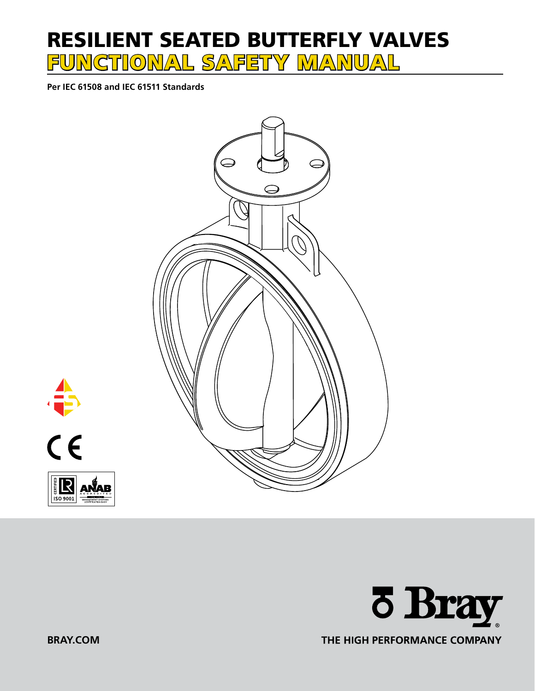# RESILIENT SEATED BUTTERFLY VALVES FUNCTIONAL SAFETY MANUAL

**Per IEC 61508 and IEC 61511 Standards**









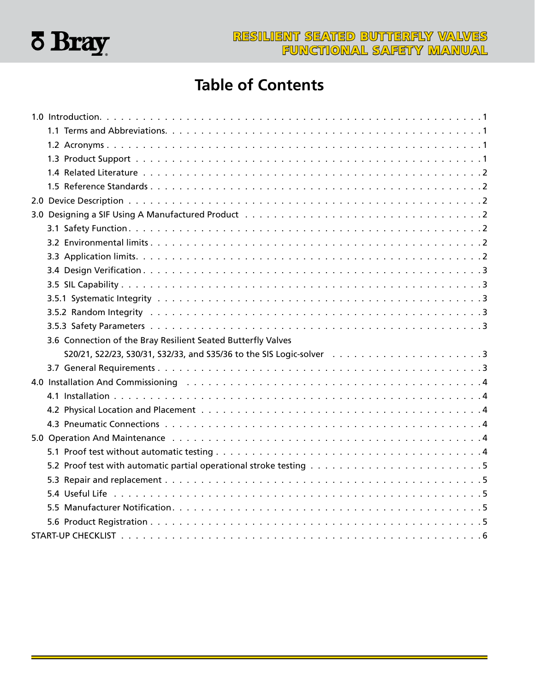

## **Table of Contents**

| 3.6 Connection of the Bray Resilient Seated Butterfly Valves |  |  |  |  |
|--------------------------------------------------------------|--|--|--|--|
|                                                              |  |  |  |  |
|                                                              |  |  |  |  |
|                                                              |  |  |  |  |
|                                                              |  |  |  |  |
|                                                              |  |  |  |  |
|                                                              |  |  |  |  |
|                                                              |  |  |  |  |
|                                                              |  |  |  |  |
|                                                              |  |  |  |  |
|                                                              |  |  |  |  |
|                                                              |  |  |  |  |
|                                                              |  |  |  |  |
|                                                              |  |  |  |  |
|                                                              |  |  |  |  |
|                                                              |  |  |  |  |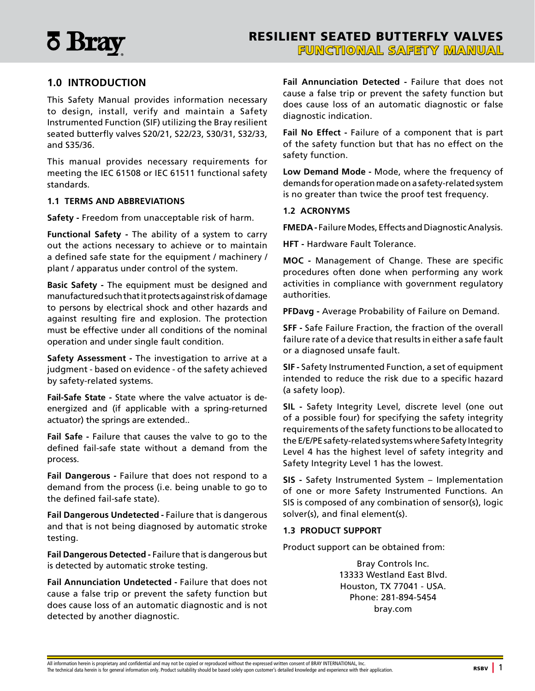<span id="page-2-0"></span>

### **1.0 INTRODUCTION**

This Safety Manual provides information necessary to design, install, verify and maintain a Safety Instrumented Function (SIF) utilizing the Bray resilient seated butterfly valves S20/21, S22/23, S30/31, S32/33, and S35/36.

This manual provides necessary requirements for meeting the IEC 61508 or IEC 61511 functional safety standards.

#### **1.1 TERMS AND ABBREVIATIONS**

**Safety -** Freedom from unacceptable risk of harm.

**Functional Safety -** The ability of a system to carry out the actions necessary to achieve or to maintain a defined safe state for the equipment / machinery / plant / apparatus under control of the system.

**Basic Safety -** The equipment must be designed and manufactured such that it protects against risk of damage to persons by electrical shock and other hazards and against resulting fire and explosion. The protection must be effective under all conditions of the nominal operation and under single fault condition.

**Safety Assessment -** The investigation to arrive at a judgment - based on evidence - of the safety achieved by safety-related systems.

**Fail-Safe State -** State where the valve actuator is deenergized and (if applicable with a spring-returned actuator) the springs are extended..

**Fail Safe -** Failure that causes the valve to go to the defined fail-safe state without a demand from the process.

**Fail Dangerous -** Failure that does not respond to a demand from the process (i.e. being unable to go to the defined fail-safe state).

**Fail Dangerous Undetected -** Failure that is dangerous and that is not being diagnosed by automatic stroke testing.

**Fail Dangerous Detected -** Failure that is dangerous but is detected by automatic stroke testing.

**Fail Annunciation Undetected -** Failure that does not cause a false trip or prevent the safety function but does cause loss of an automatic diagnostic and is not detected by another diagnostic.

**Fail Annunciation Detected -** Failure that does not cause a false trip or prevent the safety function but does cause loss of an automatic diagnostic or false diagnostic indication.

**Fail No Effect -** Failure of a component that is part of the safety function but that has no effect on the safety function.

**Low Demand Mode -** Mode, where the frequency of demands for operation made on a safety-related system is no greater than twice the proof test frequency.

#### **1.2 ACRONYMS**

**FMEDA -** Failure Modes, Effects and Diagnostic Analysis.

**HFT -** Hardware Fault Tolerance.

**MOC -** Management of Change. These are specific procedures often done when performing any work activities in compliance with government regulatory authorities.

**PFDavg -** Average Probability of Failure on Demand.

**SFF -** Safe Failure Fraction, the fraction of the overall failure rate of a device that results in either a safe fault or a diagnosed unsafe fault.

**SIF -** Safety Instrumented Function, a set of equipment intended to reduce the risk due to a specific hazard (a safety loop).

**SIL -** Safety Integrity Level, discrete level (one out of a possible four) for specifying the safety integrity requirements of the safety functions to be allocated to the E/E/PE safety-related systems where Safety Integrity Level 4 has the highest level of safety integrity and Safety Integrity Level 1 has the lowest.

**SIS -** Safety Instrumented System – Implementation of one or more Safety Instrumented Functions. An SIS is composed of any combination of sensor(s), logic solver(s), and final element(s).

#### **1.3 PRODUCT SUPPORT**

Product support can be obtained from:

Bray Controls Inc. 13333 Westland East Blvd. Houston, TX 77041 - USA. Phone: 281-894-5454 bray.com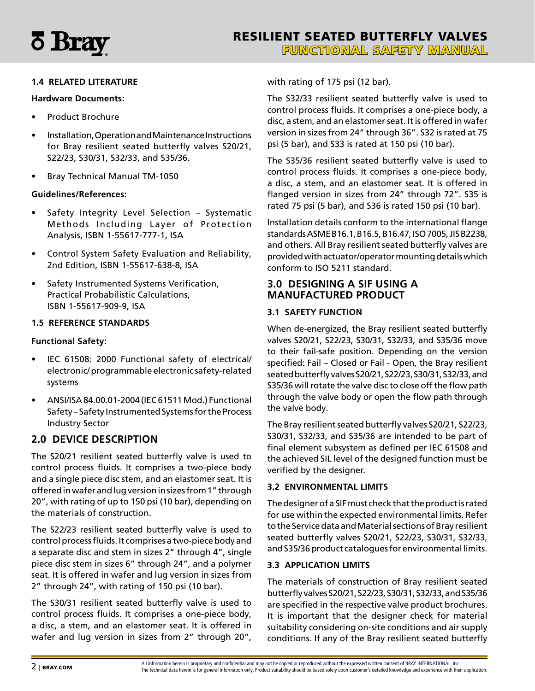<span id="page-3-0"></span>

#### **1.4 RELATED LITERATURE**

#### **Hardware Documents:**

- Product Brochure
- Installation, Operation and Maintenance Instructions for Bray resilient seated butterfly valves S20/21, S22/23, S30/31, S32/33, and S35/36.
- Bray Technical Manual TM-1050

#### **Guidelines/References:**

- Safety Integrity Level Selection Systematic Methods Including Layer of Protection Analysis, ISBN 1-55617-777-1, ISA
- Control System Safety Evaluation and Reliability, 2nd Edition, ISBN 1-55617-638-8, ISA
- Safety Instrumented Systems Verification, Practical Probabilistic Calculations, ISBN 1-55617-909-9, ISA

#### **1.5 REFERENCE STANDARDS**

#### **Functional Safety:**

- IEC 61508: 2000 Functional safety of electrical/ electronic/ programmable electronic safety-related systems
- ANSI/ISA 84.00.01-2004 (IEC 61511 Mod.) Functional Safety – Safety Instrumented Systems for the Process Industry Sector

#### **2.0 DEVICE DESCRIPTION**

The S20/21 resilient seated butterfly valve is used to control process fluids. It comprises a two-piece body and a single piece disc stem, and an elastomer seat. It is offered in wafer and lug version in sizes from 1" through 20", with rating of up to 150 psi (10 bar), depending on the materials of construction.

The S22/23 resilient seated butterfly valve is used to control process fluids. It comprises a two-piece body and a separate disc and stem in sizes 2" through 4", single piece disc stem in sizes 6" through 24", and a polymer seat. It is offered in wafer and lug version in sizes from 2" through 24", with rating of 150 psi (10 bar).

The S30/31 resilient seated butterfly valve is used to control process fluids. It comprises a one-piece body, a disc, a stem, and an elastomer seat. It is offered in wafer and lug version in sizes from 2" through 20",

with rating of 175 psi (12 bar).

The S32/33 resilient seated butterfly valve is used to control process fluids. It comprises a one-piece body, a disc, a stem, and an elastomer seat. It is offered in wafer version in sizes from 24" through 36". S32 is rated at 75 psi (5 bar), and S33 is rated at 150 psi (10 bar).

The S35/36 resilient seated butterfly valve is used to control process fluids. It comprises a one-piece body, a disc, a stem, and an elastomer seat. It is offered in flanged version in sizes from 24" through 72". S35 is rated 75 psi (5 bar), and S36 is rated 150 psi (10 bar).

Installation details conform to the international flange standards ASME B16.1, B16.5, B16.47, ISO 7005, JIS B2238, and others. All Bray resilient seated butterfly valves are provided with actuator/operator mounting details which conform to ISO 5211 standard.

## **3.0 DESIGNING A SIF USING A MANUFACTURED PRODUCT**

#### **3.1 SAFETY FUNCTION**

When de-energized, the Bray resilient seated butterfly valves S20/21, S22/23, S30/31, S32/33, and S35/36 move to their fail-safe position. Depending on the version specified: Fail – Closed or Fail - Open, the Bray resilient seated butterfly valves S20/21, S22/23, S30/31, S32/33, and S35/36 will rotate the valve disc to close off the flow path through the valve body or open the flow path through the valve body.

The Bray resilient seated butterfly valves S20/21, S22/23, S30/31, S32/33, and S35/36 are intended to be part of final element subsystem as defined per IEC 61508 and the achieved SIL level of the designed function must be verified by the designer.

#### **3.2 ENVIRONMENTAL LIMITS**

The designer of a SIF must check that the product is rated for use within the expected environmental limits. Refer to the Service data and Material sections of Bray resilient seated butterfly valves S20/21, S22/23, S30/31, S32/33, and S35/36 product catalogues for environmental limits.

#### **3.3 APPLICATION LIMITS**

The materials of construction of Bray resilient seated butterfly valves S20/21, S22/23, S30/31, S32/33, and S35/36 are specified in the respective valve product brochures. It is important that the designer check for material suitability considering on-site conditions and air supply conditions. If any of the Bray resilient seated butterfly

All information herein is proprietary and confidential and may not be copied or reproduced without the expressed written consent of BRAY INTERNATIONAL, Inc.<br>The technical data herein is for general information only. Produc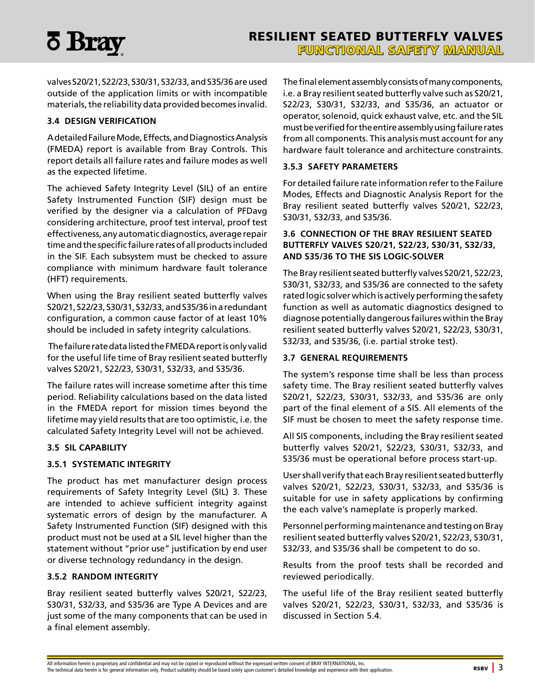<span id="page-4-0"></span>

valves S20/21, S22/23, S30/31, S32/33, and S35/36 are used outside of the application limits or with incompatible materials, the reliability data provided becomes invalid.

#### **3.4 DESIGN VERIFICATION**

A detailed Failure Mode, Effects, and Diagnostics Analysis (FMEDA) report is available from Bray Controls. This report details all failure rates and failure modes as well as the expected lifetime.

The achieved Safety Integrity Level (SIL) of an entire Safety Instrumented Function (SIF) design must be verified by the designer via a calculation of PFDavg considering architecture, proof test interval, proof test effectiveness, any automatic diagnostics, average repair time and the specific failure rates of all products included in the SIF. Each subsystem must be checked to assure compliance with minimum hardware fault tolerance (HFT) requirements.

When using the Bray resilient seated butterfly valves S20/21, S22/23, S30/31, S32/33, and S35/36 in a redundant configuration, a common cause factor of at least 10% should be included in safety integrity calculations.

 The failure rate data listed the FMEDA report is only valid for the useful life time of Bray resilient seated butterfly valves S20/21, S22/23, S30/31, S32/33, and S35/36.

The failure rates will increase sometime after this time period. Reliability calculations based on the data listed in the FMEDA report for mission times beyond the lifetime may yield results that are too optimistic, i.e. the calculated Safety Integrity Level will not be achieved.

#### **3.5 SIL CAPABILITY**

#### **3.5.1 SYSTEMATIC INTEGRITY**

The product has met manufacturer design process requirements of Safety Integrity Level (SIL) 3. These are intended to achieve sufficient integrity against systematic errors of design by the manufacturer. A Safety Instrumented Function (SIF) designed with this product must not be used at a SIL level higher than the statement without "prior use" justification by end user or diverse technology redundancy in the design.

#### **3.5.2 RANDOM INTEGRITY**

Bray resilient seated butterfly valves S20/21, S22/23, S30/31, S32/33, and S35/36 are Type A Devices and are just some of the many components that can be used in a final element assembly.

The final element assembly consists of many components, i.e. a Bray resilient seated butterfly valve such as S20/21, S22/23, S30/31, S32/33, and S35/36, an actuator or operator, solenoid, quick exhaust valve, etc. and the SIL must be verified for the entire assembly using failure rates from all components. This analysis must account for any hardware fault tolerance and architecture constraints.

#### **3.5.3 SAFETY PARAMETERS**

For detailed failure rate information refer to the Failure Modes, Effects and Diagnostic Analysis Report for the Bray resilient seated butterfly valves S20/21, S22/23, S30/31, S32/33, and S35/36.

#### **3.6 CONNECTION OF THE BRAY RESILIENT SEATED BUTTERFLY VALVES S20/21, S22/23, S30/31, S32/33, AND S35/36 TO THE SIS LOGIC-SOLVER**

The Bray resilient seated butterfly valves S20/21, S22/23, S30/31, S32/33, and S35/36 are connected to the safety rated logic solver which is actively performing the safety function as well as automatic diagnostics designed to diagnose potentially dangerous failures within the Bray resilient seated butterfly valves S20/21, S22/23, S30/31, S32/33, and S35/36, (i.e. partial stroke test).

#### **3.7 GENERAL REQUIREMENTS**

The system's response time shall be less than process safety time. The Bray resilient seated butterfly valves S20/21, S22/23, S30/31, S32/33, and S35/36 are only part of the final element of a SIS. All elements of the SIF must be chosen to meet the safety response time.

All SIS components, including the Bray resilient seated butterfly valves S20/21, S22/23, S30/31, S32/33, and S35/36 must be operational before process start-up.

User shall verify that each Bray resilient seated butterfly valves S20/21, S22/23, S30/31, S32/33, and S35/36 is suitable for use in safety applications by confirming the each valve's nameplate is properly marked.

Personnel performing maintenance and testing on Bray resilient seated butterfly valves S20/21, S22/23, S30/31, S32/33, and S35/36 shall be competent to do so.

Results from the proof tests shall be recorded and reviewed periodically.

The useful life of the Bray resilient seated butterfly valves S20/21, S22/23, S30/31, S32/33, and S35/36 is discussed in Section 5.4.

All information herein is proprietary and confidential and may not be copied or reproduced without the expressed written consent of BRAY INTERNATIONAL, Inc. The technical data herein is for general information only. Product suitability should be based solely upon customer's detailed knowledge and experience with their application. RSBV | 3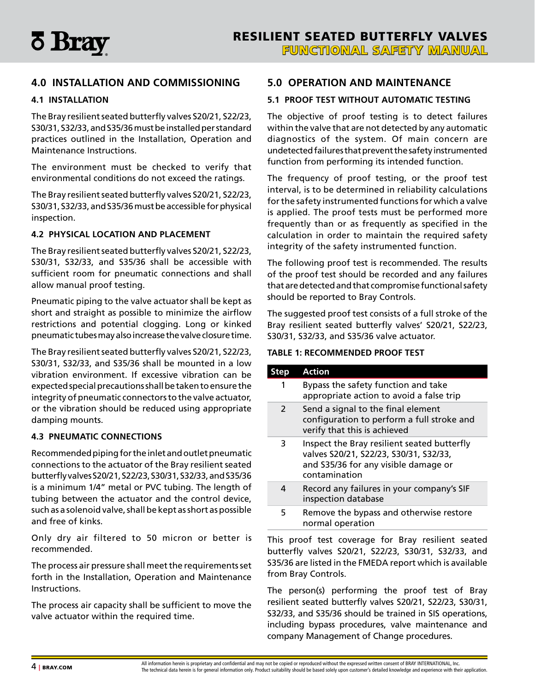<span id="page-5-0"></span>

## **4.0 INSTALLATION AND COMMISSIONING**

#### **4.1 INSTALLATION**

The Bray resilient seated butterfly valves S20/21, S22/23, S30/31, S32/33, and S35/36 must be installed per standard practices outlined in the Installation, Operation and Maintenance Instructions.

The environment must be checked to verify that environmental conditions do not exceed the ratings.

The Bray resilient seated butterfly valves S20/21, S22/23, S30/31, S32/33, and S35/36 must be accessible for physical inspection.

#### **4.2 PHYSICAL LOCATION AND PLACEMENT**

The Bray resilient seated butterfly valves S20/21, S22/23, S30/31, S32/33, and S35/36 shall be accessible with sufficient room for pneumatic connections and shall allow manual proof testing.

Pneumatic piping to the valve actuator shall be kept as short and straight as possible to minimize the airflow restrictions and potential clogging. Long or kinked pneumatic tubes may also increase the valve closure time.

The Bray resilient seated butterfly valves S20/21, S22/23, S30/31, S32/33, and S35/36 shall be mounted in a low vibration environment. If excessive vibration can be expected special precautions shall be taken to ensure the integrity of pneumatic connectors to the valve actuator, or the vibration should be reduced using appropriate damping mounts.

#### **4.3 PNEUMATIC CONNECTIONS**

Recommended piping for the inlet and outlet pneumatic connections to the actuator of the Bray resilient seated butterfly valves S20/21, S22/23, S30/31, S32/33, and S35/36 is a minimum 1/4" metal or PVC tubing. The length of tubing between the actuator and the control device, such as a solenoid valve, shall be kept as short as possible and free of kinks.

Only dry air filtered to 50 micron or better is recommended.

The process air pressure shall meet the requirements set forth in the Installation, Operation and Maintenance Instructions.

The process air capacity shall be sufficient to move the valve actuator within the required time.

#### **5.0 OPERATION AND MAINTENANCE**

#### **5.1 PROOF TEST WITHOUT AUTOMATIC TESTING**

The objective of proof testing is to detect failures within the valve that are not detected by any automatic diagnostics of the system. Of main concern are undetected failures that prevent the safety instrumented function from performing its intended function.

The frequency of proof testing, or the proof test interval, is to be determined in reliability calculations for the safety instrumented functions for which a valve is applied. The proof tests must be performed more frequently than or as frequently as specified in the calculation in order to maintain the required safety integrity of the safety instrumented function.

The following proof test is recommended. The results of the proof test should be recorded and any failures that are detected and that compromise functional safety should be reported to Bray Controls.

The suggested proof test consists of a full stroke of the Bray resilient seated butterfly valves' S20/21, S22/23, S30/31, S32/33, and S35/36 valve actuator.

#### **TABLE 1: RECOMMENDED PROOF TEST**

| Step           | <b>Action</b>                                                                                                                                  |
|----------------|------------------------------------------------------------------------------------------------------------------------------------------------|
| 1              | Bypass the safety function and take<br>appropriate action to avoid a false trip                                                                |
| $\overline{2}$ | Send a signal to the final element<br>configuration to perform a full stroke and<br>verify that this is achieved                               |
| 3              | Inspect the Bray resilient seated butterfly<br>valves S20/21, S22/23, S30/31, S32/33,<br>and S35/36 for any visible damage or<br>contamination |
| 4              | Record any failures in your company's SIF<br>inspection database                                                                               |
| 5              | Remove the bypass and otherwise restore<br>normal operation                                                                                    |

This proof test coverage for Bray resilient seated butterfly valves S20/21, S22/23, S30/31, S32/33, and S35/36 are listed in the FMEDA report which is available from Bray Controls.

The person(s) performing the proof test of Bray resilient seated butterfly valves S20/21, S22/23, S30/31, S32/33, and S35/36 should be trained in SIS operations, including bypass procedures, valve maintenance and company Management of Change procedures.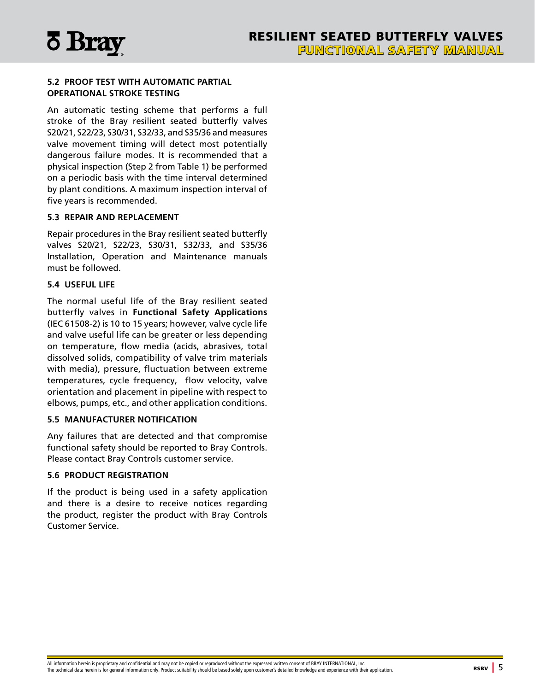<span id="page-6-0"></span>

#### **5.2 PROOF TEST WITH AUTOMATIC PARTIAL OPERATIONAL STROKE TESTING**

An automatic testing scheme that performs a full stroke of the Bray resilient seated butterfly valves S20/21, S22/23, S30/31, S32/33, and S35/36 and measures valve movement timing will detect most potentially dangerous failure modes. It is recommended that a physical inspection (Step 2 from Table 1) be performed on a periodic basis with the time interval determined by plant conditions. A maximum inspection interval of five years is recommended.

#### **5.3 REPAIR AND REPLACEMENT**

Repair procedures in the Bray resilient seated butterfly valves S20/21, S22/23, S30/31, S32/33, and S35/36 Installation, Operation and Maintenance manuals must be followed.

#### **5.4 USEFUL LIFE**

The normal useful life of the Bray resilient seated butterfly valves in **Functional Safety Applications** (IEC 61508-2) is 10 to 15 years; however, valve cycle life and valve useful life can be greater or less depending on temperature, flow media (acids, abrasives, total dissolved solids, compatibility of valve trim materials with media), pressure, fluctuation between extreme temperatures, cycle frequency, flow velocity, valve orientation and placement in pipeline with respect to elbows, pumps, etc., and other application conditions.

#### **5.5 MANUFACTURER NOTIFICATION**

Any failures that are detected and that compromise functional safety should be reported to Bray Controls. Please contact Bray Controls customer service.

#### **5.6 PRODUCT REGISTRATION**

If the product is being used in a safety application and there is a desire to receive notices regarding the product, register the product with Bray Controls Customer Service.